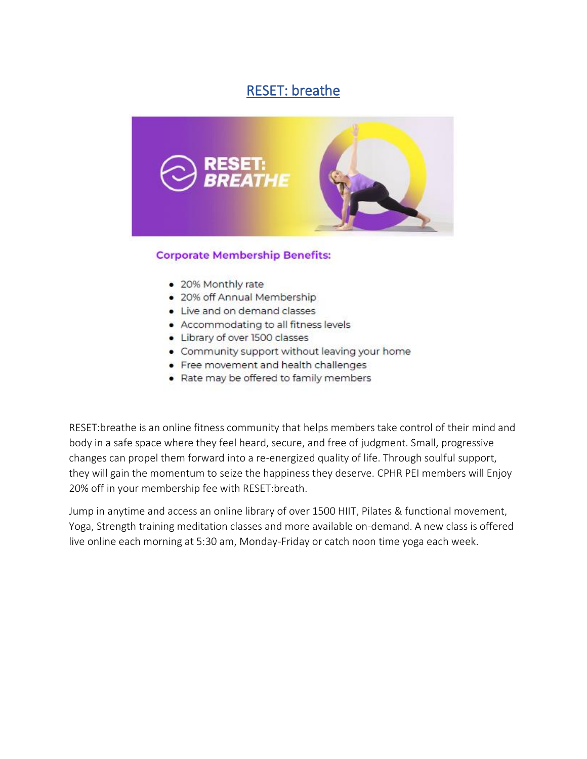## RESET: breathe



## **Corporate Membership Benefits:**

- 20% Monthly rate
- . 20% off Annual Membership
- Live and on demand classes
- Accommodating to all fitness levels
- Library of over 1500 classes
- Community support without leaving your home
- Free movement and health challenges
- Rate may be offered to family members

RESET:breathe is an online fitness community that helps members take control of their mind and body in a safe space where they feel heard, secure, and free of judgment. Small, progressive changes can propel them forward into a re-energized quality of life. Through soulful support, they will gain the momentum to seize the happiness they deserve. CPHR PEI members will Enjoy 20% off in your membership fee with RESET:breath.

Jump in anytime and access an online library of over 1500 HIIT, Pilates & functional movement, Yoga, Strength training meditation classes and more available on-demand. A new class is offered live online each morning at 5:30 am, Monday-Friday or catch noon time yoga each week.